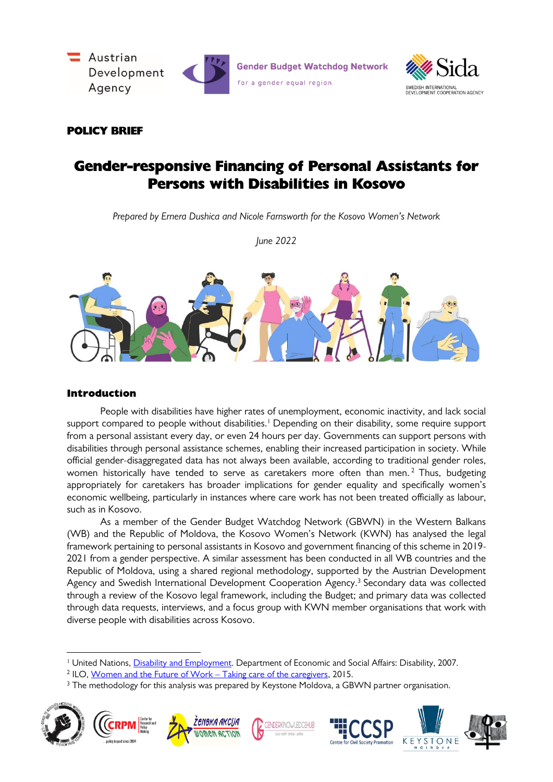



# POLICY BRIEF

# Gender-responsive Financing of Personal Assistants for Persons with Disabilities in Kosovo

*Prepared by Ernera Dushica and Nicole Farnsworth for the Kosovo Women's Network*

*June 2022*



## Introduction

-

People with disabilities have higher rates of unemployment, economic inactivity, and lack social support compared to people without disabilities.<sup>1</sup> Depending on their disability, some require support from a personal assistant every day, or even 24 hours per day. Governments can support persons with disabilities through personal assistance schemes, enabling their increased participation in society. While official gender-disaggregated data has not always been available, according to traditional gender roles, women historically have tended to serve as caretakers more often than men. <sup>2</sup> Thus, budgeting appropriately for caretakers has broader implications for gender equality and specifically women's economic wellbeing, particularly in instances where care work has not been treated officially as labour, such as in Kosovo.

As a member of the Gender Budget Watchdog Network (GBWN) in the Western Balkans (WB) and the Republic of Moldova, the Kosovo Women's Network (KWN) has analysed the legal framework pertaining to personal assistants in Kosovo and government financing of this scheme in 2019- 2021 from a gender perspective. A similar assessment has been conducted in all WB countries and the Republic of Moldova, using a shared regional methodology, supported by the Austrian Development Agency and Swedish International Development Cooperation Agency.<sup>3</sup> Secondary data was collected through a review of the Kosovo legal framework, including the Budget; and primary data was collected through data requests, interviews, and a focus group with KWN member organisations that work with diverse people with disabilities across Kosovo.

<sup>&</sup>lt;sup>3</sup> The methodology for this analysis was prepared by Keystone Moldova, a GBWN partner organisation.



<sup>&</sup>lt;sup>1</sup> United Nations, *Disability and Employment*. Department of Economic and Social Affairs: Disability, 2007.

<sup>&</sup>lt;sup>2</sup> ILO, <u>Women and the Future of Work – Taking care of the caregivers,</u> 2015.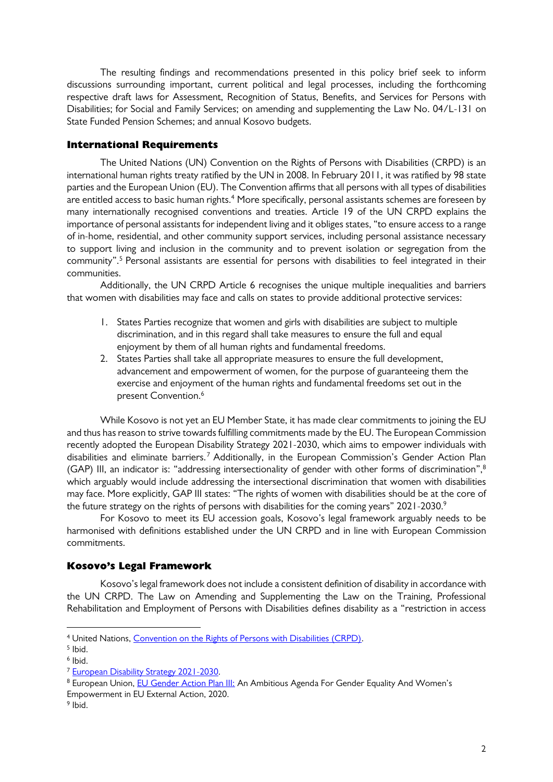The resulting findings and recommendations presented in this policy brief seek to inform discussions surrounding important, current political and legal processes, including the forthcoming respective draft laws for Assessment, Recognition of Status, Benefits, and Services for Persons with Disabilities; for Social and Family Services; on amending and supplementing the Law No. 04/L-131 on State Funded Pension Schemes; and annual Kosovo budgets.

#### International Requirements

The United Nations (UN) Convention on the Rights of Persons with Disabilities (CRPD) is an international human rights treaty ratified by the UN in 2008. In February 2011, it was ratified by 98 state parties and the European Union (EU). The Convention affirms that all persons with all types of disabilities are entitled access to basic human rights. <sup>4</sup> More specifically, personal assistants schemes are foreseen by many internationally recognised conventions and treaties. Article 19 of the UN CRPD explains the importance of personal assistants for independent living and it obliges states, "to ensure access to a range of in-home, residential, and other community support services, including personal assistance necessary to support living and inclusion in the community and to prevent isolation or segregation from the community". <sup>5</sup> Personal assistants are essential for persons with disabilities to feel integrated in their communities.

Additionally, the UN CRPD Article 6 recognises the unique multiple inequalities and barriers that women with disabilities may face and calls on states to provide additional protective services:

- 1. States Parties recognize that women and girls with disabilities are subject to multiple discrimination, and in this regard shall take measures to ensure the full and equal enjoyment by them of all human rights and fundamental freedoms.
- 2. States Parties shall take all appropriate measures to ensure the full development, advancement and empowerment of women, for the purpose of guaranteeing them the exercise and enjoyment of the human rights and fundamental freedoms set out in the present Convention. 6

While Kosovo is not yet an EU Member State, it has made clear commitments to joining the EU and thus has reason to strive towards fulfilling commitments made by the EU. The European Commission recently adopted the European Disability Strategy 2021-2030, which aims to empower individuals with disabilities and eliminate barriers.<sup>7</sup> Additionally, in the European Commission's Gender Action Plan (GAP) III, an indicator is: "addressing intersectionality of gender with other forms of discrimination",  $8$ which arguably would include addressing the intersectional discrimination that women with disabilities may face. More explicitly, GAP III states: "The rights of women with disabilities should be at the core of the future strategy on the rights of persons with disabilities for the coming years" 2021-2030.9

For Kosovo to meet its EU accession goals, Kosovo's legal framework arguably needs to be harmonised with definitions established under the UN CRPD and in line with European Commission commitments.

#### Kosovo's Legal Framework

Kosovo's legal framework does not include a consistent definition of disability in accordance with the UN CRPD. The Law on Amending and Supplementing the Law on the Training, Professional Rehabilitation and Employment of Persons with Disabilities defines disability as a "restriction in access

<sup>4</sup> United Nations[, Convention on the Rights of Persons with Disabilities \(CRPD\).](https://www.un.org/development/desa/disabilities/convention-on-the-rights-of-persons-with-disabilities.html)

 $<sup>5</sup>$  lbid.</sup>

<sup>6</sup> Ibid.

<sup>7</sup> [European Disability Strategy 2021-2030.](https://ec.europa.eu/social/main.jsp?catId=1484)

<sup>8</sup> European Union, [EU Gender Action Plan III:](https://ec.europa.eu/international-partnerships/system/files/join-2020-17-final_en.pdf) An Ambitious Agenda For Gender Equality And Women's Empowerment in EU External Action, 2020.

<sup>9</sup> Ibid.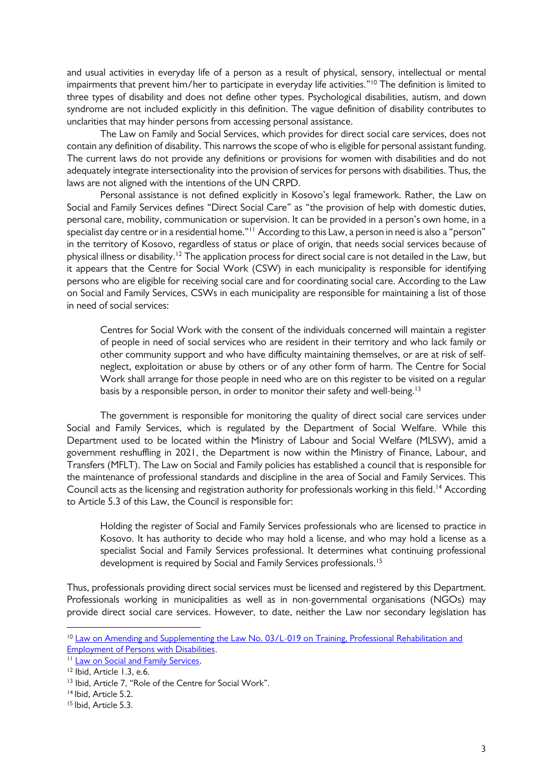and usual activities in everyday life of a person as a result of physical, sensory, intellectual or mental impairments that prevent him/her to participate in everyday life activities."<sup>10</sup> The definition is limited to three types of disability and does not define other types. Psychological disabilities, autism, and down syndrome are not included explicitly in this definition. The vague definition of disability contributes to unclarities that may hinder persons from accessing personal assistance.

The Law on Family and Social Services, which provides for direct social care services, does not contain any definition of disability. This narrows the scope of who is eligible for personal assistant funding. The current laws do not provide any definitions or provisions for women with disabilities and do not adequately integrate intersectionality into the provision of services for persons with disabilities. Thus, the laws are not aligned with the intentions of the UN CRPD.

Personal assistance is not defined explicitly in Kosovo's legal framework. Rather, the Law on Social and Family Services defines "Direct Social Care" as "the provision of help with domestic duties, personal care, mobility, communication or supervision. It can be provided in a person's own home, in a specialist day centre or in a residential home." $^{\scriptscriptstyle\rm H}$  According to this Law, a person in need is also a "person" in the territory of Kosovo, regardless of status or place of origin, that needs social services because of physical illness or disability.'<sup>2</sup> The application process for direct social care is not detailed in the Law, but it appears that the Centre for Social Work (CSW) in each municipality is responsible for identifying persons who are eligible for receiving social care and for coordinating social care. According to the Law on Social and Family Services, CSWs in each municipality are responsible for maintaining a list of those in need of social services:

Centres for Social Work with the consent of the individuals concerned will maintain a register of people in need of social services who are resident in their territory and who lack family or other community support and who have difficulty maintaining themselves, or are at risk of selfneglect, exploitation or abuse by others or of any other form of harm. The Centre for Social Work shall arrange for those people in need who are on this register to be visited on a regular basis by a responsible person, in order to monitor their safety and well-being.<sup>13</sup>

The government is responsible for monitoring the quality of direct social care services under Social and Family Services, which is regulated by the Department of Social Welfare. While this Department used to be located within the Ministry of Labour and Social Welfare (MLSW), amid a government reshuffling in 2021, the Department is now within the Ministry of Finance, Labour, and Transfers (MFLT). The Law on Social and Family policies has established a council that is responsible for the maintenance of professional standards and discipline in the area of Social and Family Services. This Council acts as the licensing and registration authority for professionals working in this field. <sup>14</sup> According to Article 5.3 of this Law, the Council is responsible for:

Holding the register of Social and Family Services professionals who are licensed to practice in Kosovo. It has authority to decide who may hold a license, and who may hold a license as a specialist Social and Family Services professional. It determines what continuing professional development is required by Social and Family Services professionals. 15

Thus, professionals providing direct social services must be licensed and registered by this Department. Professionals working in municipalities as well as in non-governmental organisations (NGOs) may provide direct social care services. However, to date, neither the Law nor secondary legislation has

<sup>10</sup> [Law on Amending and Supplementing the Law No. 03/L-019 on Training, Professional Rehabilitation and](https://gzk.rks-gov.net/ActDetail.aspx?ActID=12811.)  [Employment of Persons with Disabilities.](https://gzk.rks-gov.net/ActDetail.aspx?ActID=12811.)

<sup>&</sup>lt;sup>11</sup> [Law on Social and Family Services.](https://gzk.rks-gov.net/ActDetail.aspx?ActID=2447.)

<sup>12</sup> Ibid, Article 1.3, e.6.

<sup>13</sup> Ibid, Article 7, "Role of the Centre for Social Work".

<sup>14</sup> Ibid, Article 5.2.

<sup>&</sup>lt;sup>15</sup> Ibid, Article 5.3.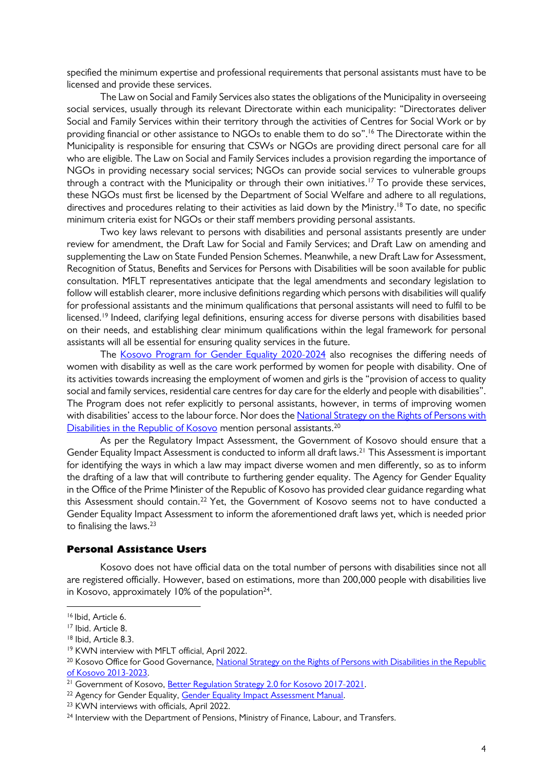specified the minimum expertise and professional requirements that personal assistants must have to be licensed and provide these services.

The Law on Social and Family Services also states the obligations of the Municipality in overseeing social services, usually through its relevant Directorate within each municipality: "Directorates deliver Social and Family Services within their territory through the activities of Centres for Social Work or by providing financial or other assistance to NGOs to enable them to do so". <sup>16</sup> The Directorate within the Municipality is responsible for ensuring that CSWs or NGOs are providing direct personal care for all who are eligible. The Law on Social and Family Services includes a provision regarding the importance of NGOs in providing necessary social services; NGOs can provide social services to vulnerable groups through a contract with the Municipality or through their own initiatives. <sup>17</sup> To provide these services, these NGOs must first be licensed by the Department of Social Welfare and adhere to all regulations, directives and procedures relating to their activities as laid down by the Ministry. <sup>18</sup> To date, no specific minimum criteria exist for NGOs or their staff members providing personal assistants.

Two key laws relevant to persons with disabilities and personal assistants presently are under review for amendment, the Draft Law for Social and Family Services; and Draft Law on amending and supplementing the Law on State Funded Pension Schemes. Meanwhile, a new Draft Law for Assessment, Recognition of Status, Benefits and Services for Persons with Disabilities will be soon available for public consultation. MFLT representatives anticipate that the legal amendments and secondary legislation to follow will establish clearer, more inclusive definitions regarding which persons with disabilities will qualify for professional assistants and the minimum qualifications that personal assistants will need to fulfil to be licensed.<sup>19</sup> Indeed, clarifying legal definitions, ensuring access for diverse persons with disabilities based on their needs, and establishing clear minimum qualifications within the legal framework for personal assistants will all be essential for ensuring quality services in the future.

The [Kosovo Program for Gender Equality 2020-2024](https://abgj.rks-gov.net/assets/cms/uploads/files/AGE%20Kosovo%20Program%20for%20Gender%20Equality%202020-2024.pdf) also recognises the differing needs of women with disability as well as the care work performed by women for people with disability. One of its activities towards increasing the employment of women and girls is the "provision of access to quality social and family services, residential care centres for day care for the elderly and people with disabilities". The Program does not refer explicitly to personal assistants, however, in terms of improving women with disabilities' access to the labour force. Nor does the National Strategy on the Rights of Persons with [Disabilities in the Republic of Kosovo](https://childhub.org/sites/default/files/library/attachments/national_strategy_on_the_rights_of_persons_with_disabilities_in_the_republic_of_kosovo_2013-2023_2.pdf) mention personal assistants.<sup>20</sup>

As per the Regulatory Impact Assessment, the Government of Kosovo should ensure that a Gender Equality Impact Assessment is conducted to inform all draft laws.<sup>21</sup> This Assessment is important for identifying the ways in which a law may impact diverse women and men differently, so as to inform the drafting of a law that will contribute to furthering gender equality. The Agency for Gender Equality in the Office of the Prime Minister of the Republic of Kosovo has provided clear guidance regarding what this Assessment should contain.<sup>22</sup> Yet, the Government of Kosovo seems not to have conducted a Gender Equality Impact Assessment to inform the aforementioned draft laws yet, which is needed prior to finalising the laws.<sup>23</sup>

#### Personal Assistance Users

Kosovo does not have official data on the total number of persons with disabilities since not all are registered officially. However, based on estimations, more than 200,000 people with disabilities live in Kosovo, approximately 10% of the population $^{24}$ .

<sup>16</sup> Ibid, Article 6.

<sup>17</sup> Ibid. Article 8.

<sup>18</sup> Ibid, Article 8.3.

<sup>19</sup> KWN interview with MFLT official, April 2022.

<sup>&</sup>lt;sup>20</sup> Kosovo Office for Good Governance, National Strategy on the Rights of Persons with Disabilities in the Republic [of Kosovo 2013-2023.](https://childhub.org/sites/default/files/library/attachments/national_strategy_on_the_rights_of_persons_with_disabilities_in_the_republic_of_kosovo_2013-2023_2.pdf)

<sup>&</sup>lt;sup>21</sup> Government of Kosovo, **Better Regulation Strategy 2.0 for Kosovo 2017-2021**.

<sup>&</sup>lt;sup>22</sup> Agency for Gender Equality[, Gender Equality Impact Assessment Manual.](https://abgj.rks-gov.net/assets/cms/uploads/files/Publikimet%20ABGJ/Gender%20Equality%20Imapact%20Assessment%20Manual.pdf)

<sup>23</sup> KWN interviews with officials, April 2022.

<sup>&</sup>lt;sup>24</sup> Interview with the Department of Pensions, Ministry of Finance, Labour, and Transfers.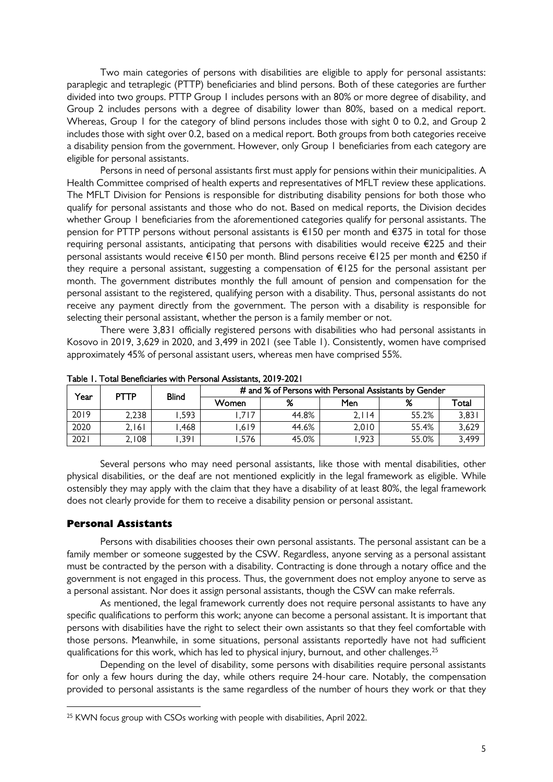Two main categories of persons with disabilities are eligible to apply for personal assistants: paraplegic and tetraplegic (PTTP) beneficiaries and blind persons. Both of these categories are further divided into two groups. PTTP Group 1 includes persons with an 80% or more degree of disability, and Group 2 includes persons with a degree of disability lower than 80%, based on a medical report. Whereas, Group 1 for the category of blind persons includes those with sight 0 to 0.2, and Group 2 includes those with sight over 0.2, based on a medical report. Both groups from both categories receive a disability pension from the government. However, only Group 1 beneficiaries from each category are eligible for personal assistants.

Persons in need of personal assistants first must apply for pensions within their municipalities. A Health Committee comprised of health experts and representatives of MFLT review these applications. The MFLT Division for Pensions is responsible for distributing disability pensions for both those who qualify for personal assistants and those who do not. Based on medical reports, the Division decides whether Group 1 beneficiaries from the aforementioned categories qualify for personal assistants. The pension for PTTP persons without personal assistants is  $\epsilon$ 150 per month and  $\epsilon$ 375 in total for those requiring personal assistants, anticipating that persons with disabilities would receive €225 and their personal assistants would receive €150 per month. Blind persons receive €125 per month and €250 if they require a personal assistant, suggesting a compensation of €125 for the personal assistant per month. The government distributes monthly the full amount of pension and compensation for the personal assistant to the registered, qualifying person with a disability. Thus, personal assistants do not receive any payment directly from the government. The person with a disability is responsible for selecting their personal assistant, whether the person is a family member or not.

There were 3,831 officially registered persons with disabilities who had personal assistants in Kosovo in 2019, 3,629 in 2020, and 3,499 in 2021 (see Table 1). Consistently, women have comprised approximately 45% of personal assistant users, whereas men have comprised 55%.

| Y <sub>ear</sub> | PTTP     | Blind | # and % of Persons with Personal Assistants by Gender |       |            |       |       |  |  |  |
|------------------|----------|-------|-------------------------------------------------------|-------|------------|-------|-------|--|--|--|
|                  |          |       | Women                                                 | %     | <b>Men</b> | %     | Total |  |  |  |
| 2019             | 2,238    | .593  | .717                                                  | 44.8% | 2,114      | 55.2% | 3,83  |  |  |  |
| 2020             | 2. I 6 I | .468  | .619                                                  | 44.6% | 2.010      | 55.4% | 3,629 |  |  |  |
| 2021             | 2,108    | ,391  | ,576                                                  | 45.0% | .923       | 55.0% | 3,499 |  |  |  |

Table 1. Total Beneficiaries with Personal Assistants, 2019-2021

Several persons who may need personal assistants, like those with mental disabilities, other physical disabilities, or the deaf are not mentioned explicitly in the legal framework as eligible. While ostensibly they may apply with the claim that they have a disability of at least 80%, the legal framework does not clearly provide for them to receive a disability pension or personal assistant.

#### Personal Assistants

-

Persons with disabilities chooses their own personal assistants. The personal assistant can be a family member or someone suggested by the CSW. Regardless, anyone serving as a personal assistant must be contracted by the person with a disability. Contracting is done through a notary office and the government is not engaged in this process. Thus, the government does not employ anyone to serve as a personal assistant. Nor does it assign personal assistants, though the CSW can make referrals.

As mentioned, the legal framework currently does not require personal assistants to have any specific qualifications to perform this work; anyone can become a personal assistant. It is important that persons with disabilities have the right to select their own assistants so that they feel comfortable with those persons. Meanwhile, in some situations, personal assistants reportedly have not had sufficient qualifications for this work, which has led to physical injury, burnout, and other challenges.<sup>25</sup>

Depending on the level of disability, some persons with disabilities require personal assistants for only a few hours during the day, while others require 24-hour care. Notably, the compensation provided to personal assistants is the same regardless of the number of hours they work or that they

<sup>&</sup>lt;sup>25</sup> KWN focus group with CSOs working with people with disabilities, April 2022.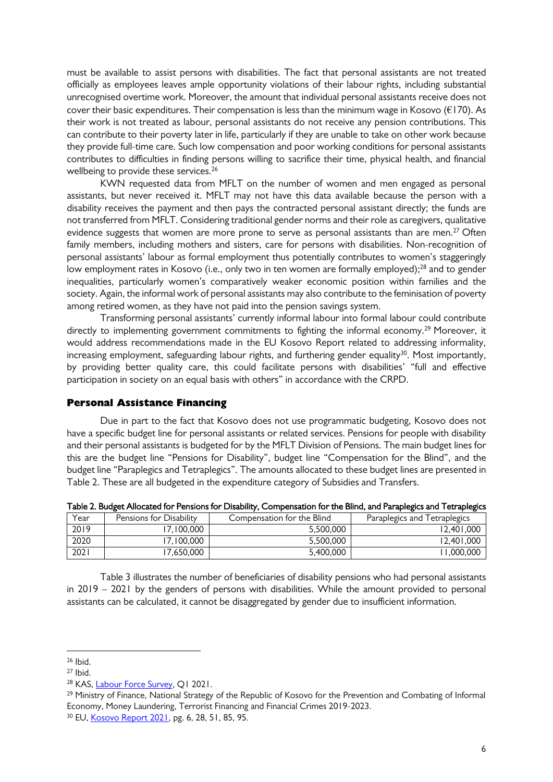must be available to assist persons with disabilities. The fact that personal assistants are not treated officially as employees leaves ample opportunity violations of their labour rights, including substantial unrecognised overtime work. Moreover, the amount that individual personal assistants receive does not cover their basic expenditures. Their compensation is less than the minimum wage in Kosovo ( $E$ 170). As their work is not treated as labour, personal assistants do not receive any pension contributions. This can contribute to their poverty later in life, particularly if they are unable to take on other work because they provide full-time care. Such low compensation and poor working conditions for personal assistants contributes to difficulties in finding persons willing to sacrifice their time, physical health, and financial wellbeing to provide these services.<sup>26</sup>

KWN requested data from MFLT on the number of women and men engaged as personal assistants, but never received it. MFLT may not have this data available because the person with a disability receives the payment and then pays the contracted personal assistant directly; the funds are not transferred from MFLT. Considering traditional gender norms and their role as caregivers, qualitative evidence suggests that women are more prone to serve as personal assistants than are men.<sup>27</sup> Often family members, including mothers and sisters, care for persons with disabilities. Non-recognition of personal assistants' labour as formal employment thus potentially contributes to women's staggeringly low employment rates in Kosovo (i.e., only two in ten women are formally employed); <sup>28</sup> and to gender inequalities, particularly women's comparatively weaker economic position within families and the society. Again, the informal work of personal assistants may also contribute to the feminisation of poverty among retired women, as they have not paid into the pension savings system.

Transforming personal assistants' currently informal labour into formal labour could contribute directly to implementing government commitments to fighting the informal economy. <sup>29</sup> Moreover, it would address recommendations made in the EU Kosovo Report related to addressing informality, increasing employment, safeguarding labour rights, and furthering gender equality $^{30}$ . Most importantly, by providing better quality care, this could facilitate persons with disabilities' "full and effective participation in society on an equal basis with others" in accordance with the CRPD.

#### Personal Assistance Financing

Due in part to the fact that Kosovo does not use programmatic budgeting, Kosovo does not have a specific budget line for personal assistants or related services. Pensions for people with disability and their personal assistants is budgeted for by the MFLT Division of Pensions. The main budget lines for this are the budget line "Pensions for Disability", budget line "Compensation for the Blind", and the budget line "Paraplegics and Tetraplegics". The amounts allocated to these budget lines are presented in Table 2. These are all budgeted in the expenditure category of Subsidies and Transfers.

| Year | Pensions for Disability | Compensation for the Blind | Paraplegics and Tetraplegics |
|------|-------------------------|----------------------------|------------------------------|
| 2019 | 7.100.000               | 5.500.000                  | 12,401,000                   |
| 2020 | 7.100.000               | 5.500.000                  | 12.401.000                   |
| 202  | 7.650.000               | 5.400.000                  | 1.000.000                    |

Table 2. Budget Allocated for Pensions for Disability, Compensation for the Blind, and Paraplegics and Tetraplegics

Table 3 illustrates the number of beneficiaries of disability pensions who had personal assistants in 2019 – 2021 by the genders of persons with disabilities. While the amount provided to personal assistants can be calculated, it cannot be disaggregated by gender due to insufficient information.

<sup>26</sup> Ibid.

 $27$  Ibid.

<sup>&</sup>lt;sup>28</sup> KAS, **Labour Force Survey**, Q1 2021.

<sup>&</sup>lt;sup>29</sup> Ministry of Finance, National Strategy of the Republic of Kosovo for the Prevention and Combating of Informal Economy, Money Laundering, Terrorist Financing and Financial Crimes 2019-2023.

<sup>30</sup> EU, [Kosovo Report 2021,](https://ec.europa.eu/neighbourhood-enlargement/kosovo-report-2021_en) pg. 6, 28, 51, 85, 95.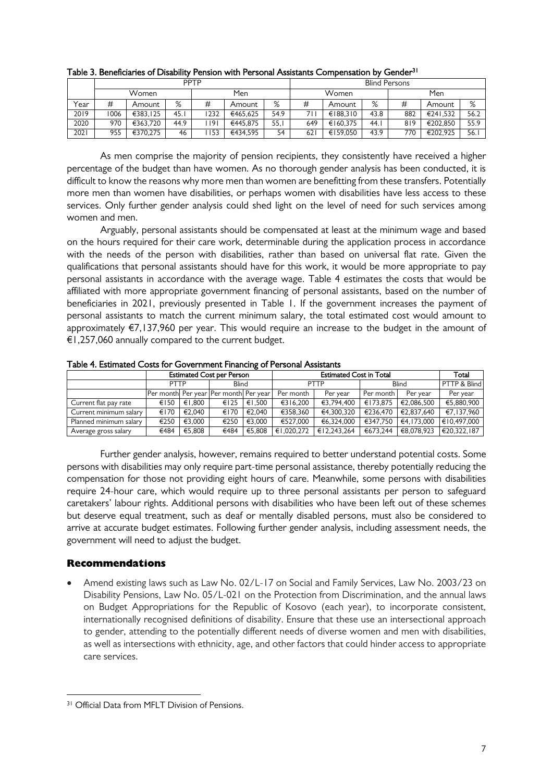|      | <b>PPTP</b> |          |      |             |          |      |       | <b>Blind Persons</b> |      |     |          |      |  |  |
|------|-------------|----------|------|-------------|----------|------|-------|----------------------|------|-----|----------|------|--|--|
|      | Women       |          |      | Men         |          |      | Women |                      |      | Men |          |      |  |  |
| Year | #           | Amount   | %    | #           | Amount   | %    | #     | Amount               | %    | #   | Amount   | %    |  |  |
| 2019 | 1006        | €383.125 | 45.1 | 1232        | €465.625 | 54.9 | 71    | €188.310             | 43.8 | 882 | €241.532 | 56.2 |  |  |
| 2020 | 970         | €363.720 | 44.9 | l 191       | €445.875 | 55.I | 649   | €160.375             | 44.1 | 819 | €202.850 | 55.9 |  |  |
| 2021 | 955         | €370.275 | 46   | <b>II53</b> | €434.595 | 54   | 621   | €159.050             | 43.9 | 770 | €202.925 | 56.  |  |  |

Table 3. Beneficiaries of Disability Pension with Personal Assistants Compensation by Gender<sup>31</sup>

As men comprise the majority of pension recipients, they consistently have received a higher percentage of the budget than have women. As no thorough gender analysis has been conducted, it is difficult to know the reasons why more men than women are benefitting from these transfers. Potentially more men than women have disabilities, or perhaps women with disabilities have less access to these services. Only further gender analysis could shed light on the level of need for such services among women and men.

Arguably, personal assistants should be compensated at least at the minimum wage and based on the hours required for their care work, determinable during the application process in accordance with the needs of the person with disabilities, rather than based on universal flat rate. Given the qualifications that personal assistants should have for this work, it would be more appropriate to pay personal assistants in accordance with the average wage. Table 4 estimates the costs that would be affiliated with more appropriate government financing of personal assistants, based on the number of beneficiaries in 2021, previously presented in Table 1. If the government increases the payment of personal assistants to match the current minimum salary, the total estimated cost would amount to approximately €7,137,960 per year. This would require an increase to the budget in the amount of €1,257,060 annually compared to the current budget.

|                        |                                       |        | <b>Estimated Cost per Person</b> |          |            | Total       |          |            |              |
|------------------------|---------------------------------------|--------|----------------------------------|----------|------------|-------------|----------|------------|--------------|
|                        | <b>PTTP</b>                           |        | <b>Blind</b>                     |          | PTTP       |             | Blind    |            | PTTP & Blind |
|                        | Per month Per year Per month Per year |        | Per month                        | Per year | Per month  | Per vear    | Per year |            |              |
| Current flat pay rate  | €150                                  | €1.800 | €125                             | €1.500   | €316.200   | €3.794.400  | €173.875 | €2.086.500 | €5.880.900   |
| Current minimum salary | €170                                  | €2.040 | €170                             | €2.040   | €358,360   | €4,300,320  | €236.470 | €2.837.640 | €7.137.960   |
| Planned minimum salary | €250                                  | €3.000 | €250                             | €3.000   | €527.000   | €6.324.000  | €347.750 | €4.173.000 | €10.497.000  |
| Average gross salary   | €484                                  | €5.808 | €484                             | €5.808   | €1,020,272 | €12,243,264 | €673.244 | €8,078,923 | €20.322.187  |

Table 4. Estimated Costs for Government Financing of Personal Assistants

Further gender analysis, however, remains required to better understand potential costs. Some persons with disabilities may only require part-time personal assistance, thereby potentially reducing the compensation for those not providing eight hours of care. Meanwhile, some persons with disabilities require 24-hour care, which would require up to three personal assistants per person to safeguard caretakers' labour rights. Additional persons with disabilities who have been left out of these schemes but deserve equal treatment, such as deaf or mentally disabled persons, must also be considered to arrive at accurate budget estimates. Following further gender analysis, including assessment needs, the government will need to adjust the budget.

### Recommendations

 Amend existing laws such as Law No. 02/L-17 on Social and Family Services, Law No. 2003/23 on Disability Pensions, Law No. 05/L-021 on the Protection from Discrimination, and the annual laws on Budget Appropriations for the Republic of Kosovo (each year), to incorporate consistent, internationally recognised definitions of disability. Ensure that these use an intersectional approach to gender, attending to the potentially different needs of diverse women and men with disabilities, as well as intersections with ethnicity, age, and other factors that could hinder access to appropriate care services.

<sup>-</sup><sup>31</sup> Official Data from MFLT Division of Pensions.